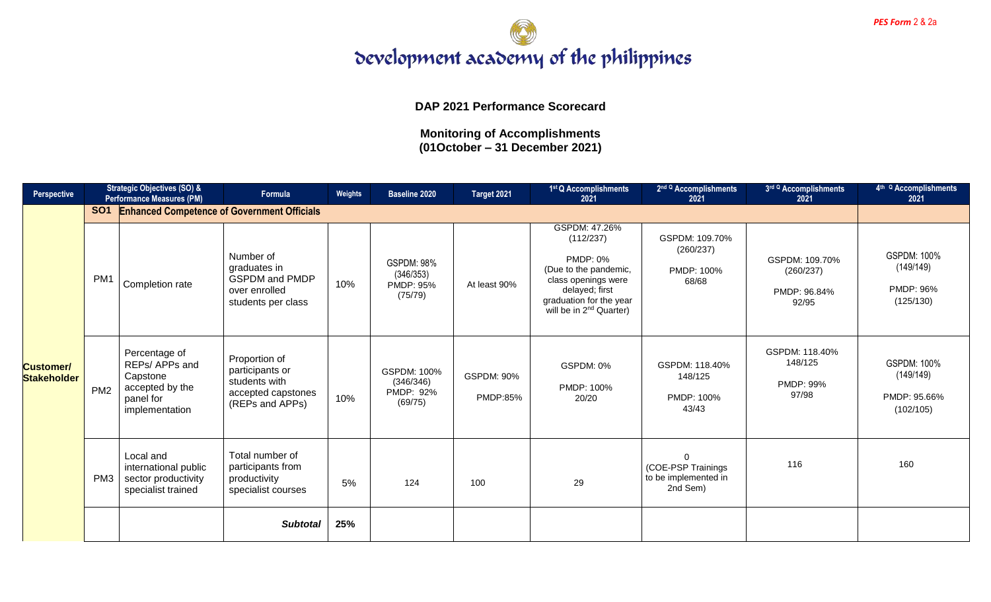

**DAP 2021 Performance Scorecard**

| <b>Perspective</b>                     |                 | <b>Strategic Objectives (SO) &amp;</b><br><b>Performance Measures (PM)</b>                    | <b>Formula</b>                                                                             | Weights | <b>Baseline 2020</b>                                          | Target 2021                   | 1st Q Accomplishments<br>2021                                                                                                                                                     | 2 <sup>nd Q</sup> Accomplishments<br>2021                          | 3rd Q Accomplishments<br>2021                        | 4 <sup>th Q</sup> Accomplishments<br>2021                    |
|----------------------------------------|-----------------|-----------------------------------------------------------------------------------------------|--------------------------------------------------------------------------------------------|---------|---------------------------------------------------------------|-------------------------------|-----------------------------------------------------------------------------------------------------------------------------------------------------------------------------------|--------------------------------------------------------------------|------------------------------------------------------|--------------------------------------------------------------|
|                                        | <b>SO1</b>      | <b>Enhanced Competence of Government Officials</b>                                            |                                                                                            |         |                                                               |                               |                                                                                                                                                                                   |                                                                    |                                                      |                                                              |
| <b>Customer/</b><br><b>Stakeholder</b> | PM <sub>1</sub> | Completion rate                                                                               | Number of<br>graduates in<br><b>GSPDM</b> and PMDP<br>over enrolled<br>students per class  | 10%     | <b>GSPDM: 98%</b><br>(346/353)<br><b>PMDP: 95%</b><br>(75/79) | At least 90%                  | GSPDM: 47.26%<br>(112/237)<br><b>PMDP: 0%</b><br>(Due to the pandemic,<br>class openings were<br>delayed; first<br>graduation for the year<br>will be in 2 <sup>nd</sup> Quarter) | GSPDM: 109.70%<br>(260/237)<br>PMDP: 100%<br>68/68                 | GSPDM: 109.70%<br>(260/237)<br>PMDP: 96.84%<br>92/95 | <b>GSPDM: 100%</b><br>(149/149)<br>PMDP: 96%<br>(125/130)    |
|                                        | PM <sub>2</sub> | Percentage of<br>REPs/ APPs and<br>Capstone<br>accepted by the<br>panel for<br>implementation | Proportion of<br>participants or<br>students with<br>accepted capstones<br>(REPs and APPs) | 10%     | GSPDM: 100%<br>(346/346)<br>PMDP: 92%<br>(69/75)              | <b>GSPDM: 90%</b><br>PMDP:85% | GSPDM: 0%<br>PMDP: 100%<br>20/20                                                                                                                                                  | GSPDM: 118.40%<br>148/125<br>PMDP: 100%<br>43/43                   | GSPDM: 118.40%<br>148/125<br>PMDP: 99%<br>97/98      | <b>GSPDM: 100%</b><br>(149/149)<br>PMDP: 95.66%<br>(102/105) |
|                                        | PM <sub>3</sub> | Local and<br>international public<br>sector productivity<br>specialist trained                | Total number of<br>participants from<br>productivity<br>specialist courses                 | 5%      | 124                                                           | 100                           | 29                                                                                                                                                                                | $\Omega$<br>(COE-PSP Trainings<br>to be implemented in<br>2nd Sem) | 116                                                  | 160                                                          |
|                                        |                 |                                                                                               | <b>Subtotal</b>                                                                            | 25%     |                                                               |                               |                                                                                                                                                                                   |                                                                    |                                                      |                                                              |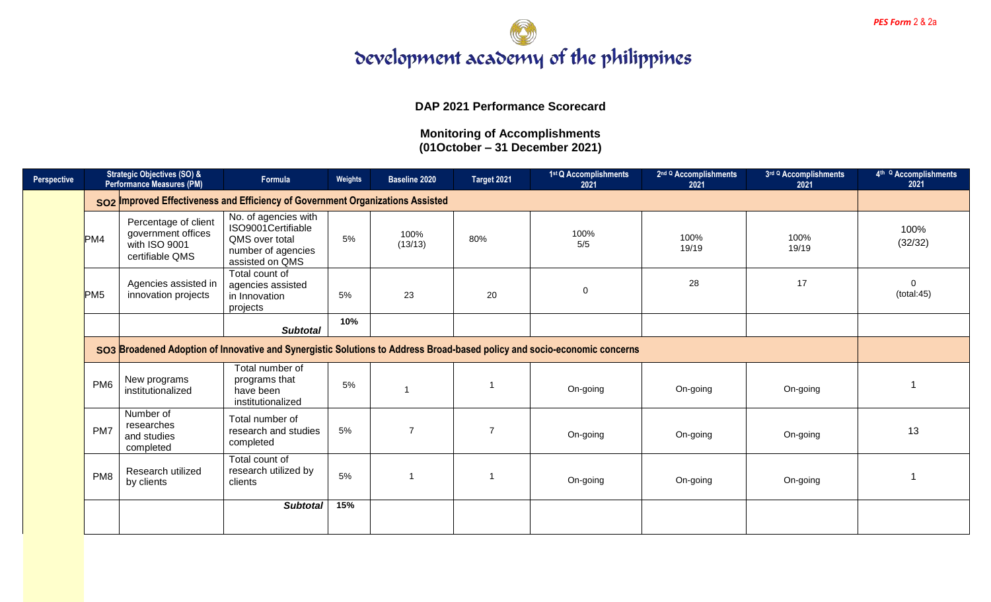

**DAP 2021 Performance Scorecard**

| Perspective |                 | <b>Strategic Objectives (SO) &amp;</b><br><b>Performance Measures (PM)</b>     | Formula                                                                                               | Weights | <b>Baseline 2020</b> | Target 2021    | 1 <sup>st</sup> Q Accomplishments<br>2021                                                                                | 2 <sup>nd Q</sup> Accomplishments<br>2021 | 3rd Q Accomplishments<br>2021 | 4 <sup>th Q</sup> Accomplishments<br>2021 |  |  |
|-------------|-----------------|--------------------------------------------------------------------------------|-------------------------------------------------------------------------------------------------------|---------|----------------------|----------------|--------------------------------------------------------------------------------------------------------------------------|-------------------------------------------|-------------------------------|-------------------------------------------|--|--|
|             |                 | SO2 Improved Effectiveness and Efficiency of Government Organizations Assisted |                                                                                                       |         |                      |                |                                                                                                                          |                                           |                               |                                           |  |  |
|             | PM4             | Percentage of client<br>government offices<br>with ISO 9001<br>certifiable QMS | No. of agencies with<br>ISO9001Certifiable<br>QMS over total<br>number of agencies<br>assisted on QMS | 5%      | 100%<br>(13/13)      | 80%            | 100%<br>5/5                                                                                                              | 100%<br>19/19                             | 100%<br>19/19                 | 100%<br>(32/32)                           |  |  |
|             | PM <sub>5</sub> | Agencies assisted in<br>innovation projects                                    | Total count of<br>agencies assisted<br>in Innovation<br>projects                                      | 5%      | 23                   | 20             | $\mathbf 0$                                                                                                              | 28                                        | 17                            | $\Omega$<br>(total:45)                    |  |  |
|             |                 |                                                                                | <b>Subtotal</b>                                                                                       | 10%     |                      |                |                                                                                                                          |                                           |                               |                                           |  |  |
|             |                 |                                                                                |                                                                                                       |         |                      |                | SO3 Broadened Adoption of Innovative and Synergistic Solutions to Address Broad-based policy and socio-economic concerns |                                           |                               |                                           |  |  |
|             | PM <sub>6</sub> | New programs<br>institutionalized                                              | Total number of<br>programs that<br>have been<br>institutionalized                                    | 5%      |                      |                | On-going                                                                                                                 | On-going                                  | On-going                      |                                           |  |  |
|             | PM7             | Number of<br>researches<br>and studies<br>completed                            | Total number of<br>research and studies<br>completed                                                  | 5%      | $\overline{7}$       | $\overline{7}$ | On-going                                                                                                                 | On-going                                  | On-going                      | 13                                        |  |  |
|             | PM <sub>8</sub> | Research utilized<br>by clients                                                | Total count of<br>research utilized by<br>clients                                                     | 5%      | 1                    |                | On-going                                                                                                                 | On-going                                  | On-going                      |                                           |  |  |
|             |                 |                                                                                | <b>Subtotal</b>                                                                                       | 15%     |                      |                |                                                                                                                          |                                           |                               |                                           |  |  |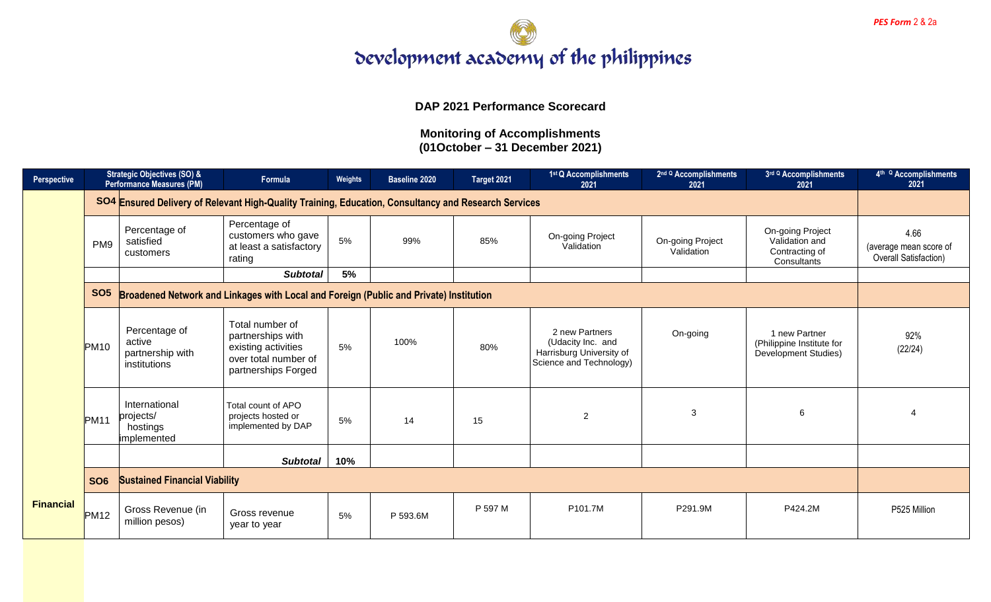

**DAP 2021 Performance Scorecard**

| Perspective      |                  | <b>Strategic Objectives (SO) &amp;</b><br><b>Performance Measures (PM)</b> | Formula                                                                                                    | Weights | <b>Baseline 2020</b> | Target 2021 | 1st Q Accomplishments<br>2021                                                              | 2 <sup>nd Q</sup> Accomplishments<br>2021 | 3rd Q Accomplishments<br>2021                                       | 4 <sup>th Q</sup> Accomplishments<br>2021               |
|------------------|------------------|----------------------------------------------------------------------------|------------------------------------------------------------------------------------------------------------|---------|----------------------|-------------|--------------------------------------------------------------------------------------------|-------------------------------------------|---------------------------------------------------------------------|---------------------------------------------------------|
|                  |                  |                                                                            | SO4 Ensured Delivery of Relevant High-Quality Training, Education, Consultancy and Research Services       |         |                      |             |                                                                                            |                                           |                                                                     |                                                         |
|                  | PM <sub>9</sub>  | Percentage of<br>satisfied<br>customers                                    | Percentage of<br>customers who gave<br>at least a satisfactory<br>rating                                   | 5%      | 99%                  | 85%         | On-going Project<br>Validation                                                             | On-going Project<br>Validation            | On-going Project<br>Validation and<br>Contracting of<br>Consultants | 4.66<br>(average mean score of<br>Overall Satisfaction) |
|                  |                  |                                                                            | <b>Subtotal</b>                                                                                            | 5%      |                      |             |                                                                                            |                                           |                                                                     |                                                         |
|                  | <b>SO5</b>       |                                                                            | Broadened Network and Linkages with Local and Foreign (Public and Private) Institution                     |         |                      |             |                                                                                            |                                           |                                                                     |                                                         |
|                  | <b>PM10</b>      | Percentage of<br>active<br>partnership with<br>institutions                | Total number of<br>partnerships with<br>existing activities<br>over total number of<br>partnerships Forged | 5%      | 100%                 | 80%         | 2 new Partners<br>(Udacity Inc. and<br>Harrisburg University of<br>Science and Technology) | On-going                                  | 1 new Partner<br>(Philippine Institute for<br>Development Studies)  | 92%<br>(22/24)                                          |
|                  | PM <sub>11</sub> | International<br>projects/<br>hostings<br>implemented                      | Total count of APO<br>projects hosted or<br>implemented by DAP                                             | 5%      | 14                   | 15          | $\overline{2}$                                                                             | 3                                         | 6                                                                   |                                                         |
|                  |                  |                                                                            | <b>Subtotal</b>                                                                                            | 10%     |                      |             |                                                                                            |                                           |                                                                     |                                                         |
|                  | <b>SO6</b>       | <b>Sustained Financial Viability</b>                                       |                                                                                                            |         |                      |             |                                                                                            |                                           |                                                                     |                                                         |
| <b>Financial</b> | <b>PM12</b>      | Gross Revenue (in<br>million pesos)                                        | Gross revenue<br>year to year                                                                              | 5%      | P 593.6M             | P 597 M     | P101.7M                                                                                    | P291.9M                                   | P424.2M                                                             | P525 Million                                            |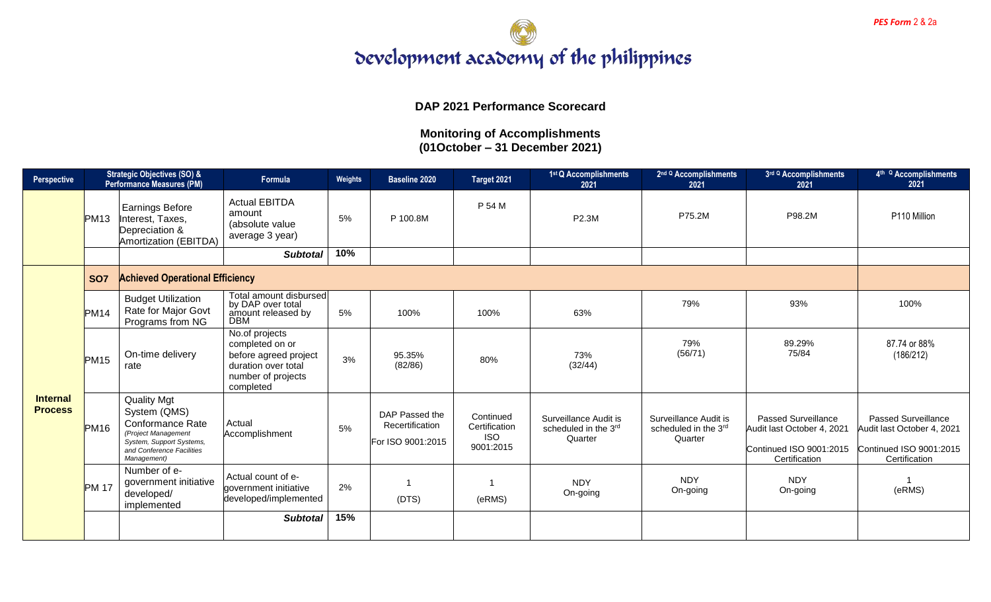

## **DAP 2021 Performance Scorecard**

| Perspective                       | <b>Strategic Objectives (SO) &amp;</b><br><b>Performance Measures (PM)</b> |                                                                                                                                                       | Formula                                                                                                              | Weights | <b>Baseline 2020</b>                                   | Target 2021                                           | 1 <sup>st</sup> Q Accomplishments<br>2021                | 2 <sup>nd Q</sup> Accomplishments<br>2021                | 3rd Q Accomplishments<br>2021                                                                        | 4 <sup>th Q</sup> Accomplishments<br>2021                                                            |
|-----------------------------------|----------------------------------------------------------------------------|-------------------------------------------------------------------------------------------------------------------------------------------------------|----------------------------------------------------------------------------------------------------------------------|---------|--------------------------------------------------------|-------------------------------------------------------|----------------------------------------------------------|----------------------------------------------------------|------------------------------------------------------------------------------------------------------|------------------------------------------------------------------------------------------------------|
|                                   | PM <sub>13</sub>                                                           | <b>Earnings Before</b><br>Interest, Taxes,<br>Depreciation &<br>Amortization (EBITDA)                                                                 | <b>Actual EBITDA</b><br>amount<br>(absolute value<br>average 3 year)                                                 | 5%      | P 100.8M                                               | P 54 M                                                | P2.3M                                                    | P75.2M                                                   | P98.2M                                                                                               | P110 Million                                                                                         |
|                                   |                                                                            |                                                                                                                                                       | <b>Subtotal</b>                                                                                                      | 10%     |                                                        |                                                       |                                                          |                                                          |                                                                                                      |                                                                                                      |
|                                   | <b>SO7</b>                                                                 | <b>Achieved Operational Efficiency</b>                                                                                                                |                                                                                                                      |         |                                                        |                                                       |                                                          |                                                          |                                                                                                      |                                                                                                      |
| <b>Internal</b><br><b>Process</b> | PM14                                                                       | <b>Budget Utilization</b><br>Rate for Major Govt<br>Programs from NG                                                                                  | Total amount disbursed<br>by DAP over total<br>amount released by<br><b>DBM</b>                                      | 5%      | 100%                                                   | 100%                                                  | 63%                                                      | 79%                                                      | 93%                                                                                                  | 100%                                                                                                 |
|                                   | PM <sub>15</sub>                                                           | On-time delivery<br>rate                                                                                                                              | No.of projects<br>completed on or<br>before agreed project<br>duration over total<br>number of projects<br>completed | 3%      | 95.35%<br>(82/86)                                      | 80%                                                   | 73%<br>(32/44)                                           | 79%<br>(56/71)                                           | 89.29%<br>75/84                                                                                      | 87.74 or 88%<br>(186/212)                                                                            |
|                                   | <b>PM16</b>                                                                | <b>Quality Mgt</b><br>System (QMS)<br>Conformance Rate<br>(Project Management<br>System, Support Systems,<br>and Conference Facilities<br>Management) | Actual<br>Accomplishment                                                                                             | 5%      | DAP Passed the<br>Recertification<br>For ISO 9001:2015 | Continued<br>Certification<br><b>ISO</b><br>9001:2015 | Surveillance Audit is<br>scheduled in the 3rd<br>Quarter | Surveillance Audit is<br>scheduled in the 3rd<br>Quarter | <b>Passed Surveillance</b><br>Audit last October 4, 2021<br>Continued ISO 9001:2015<br>Certification | <b>Passed Surveillance</b><br>Audit last October 4, 2021<br>Continued ISO 9001:2015<br>Certification |
|                                   | <b>PM 17</b>                                                               | Number of e-<br>government initiative<br>developed/<br>implemented                                                                                    | Actual count of e-<br>government initiative<br>developed/implemented                                                 | 2%      | (DTS)                                                  | (eRMS)                                                | <b>NDY</b><br>On-going                                   | <b>NDY</b><br>On-going                                   | <b>NDY</b><br>On-going                                                                               | 1<br>(eRMS)                                                                                          |
|                                   |                                                                            |                                                                                                                                                       | <b>Subtotal</b>                                                                                                      | 15%     |                                                        |                                                       |                                                          |                                                          |                                                                                                      |                                                                                                      |